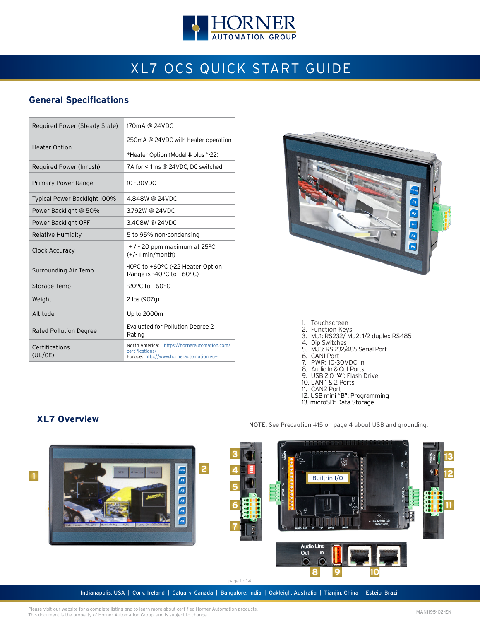

# XL7 OCS QUICK START GUIDE

### **General Specifications**

| Required Power (Steady State) | 170mA @ 24VDC                                                                                              |
|-------------------------------|------------------------------------------------------------------------------------------------------------|
|                               | 250mA @ 24VDC with heater operation                                                                        |
| <b>Heater Option</b>          | *Heater Option (Model # plus "-22)                                                                         |
| Required Power (Inrush)       | 7A for < 1ms @ 24VDC. DC switched                                                                          |
| Primary Power Range           | $10 - 30$ VDC                                                                                              |
| Typical Power Backlight 100%  | 4.848W @ 24VDC                                                                                             |
| Power Backlight @ 50%         | 3.792W @ 24VDC                                                                                             |
| Power Backlight OFF           | 3.408W @ 24VDC                                                                                             |
| Relative Humidity             | 5 to 95% non-condensing                                                                                    |
| Clock Accuracy                | $+$ / - 20 ppm maximum at 25 °C<br>$(+/- 1 min/month)$                                                     |
| Surrounding Air Temp          | -10°C to +60°C (-22 Heater Option<br>Range is $-40^{\circ}$ C to $+60^{\circ}$ C)                          |
| Storage Temp                  | -20°C to +60°C                                                                                             |
| Weight                        | 2 lbs (907g)                                                                                               |
| Altitude                      | Up to 2000m                                                                                                |
| <b>Rated Pollution Degree</b> | Evaluated for Pollution Degree 2<br>Rating                                                                 |
| Certifications<br>(UL/CE)     | North America: https://hornerautomation.com/<br>certifications/<br>Europe: http://www.hornerautomation.eu+ |



- 1. Touchscreen
- 2. Function Keys 3. MJ1: RS232/ MJ2: 1/2 duplex RS485
- 4. Dip Switches
- 5. MJ3: RS-232/485 Serial Port
- 6. CAN1 Port
- 7. PWR: 10-30VDC In
- 8. Audio In & Out Ports
- 9. USB 2.0 "A": Flash Drive
- 10. LAN 1 & 2 Ports
- 11. CAN2 Port
- 
- 12. USB mini "B": Programming 13. microSD: Data Storage
- 

NOTE: See Precaution #15 on page 4 about USB and grounding.

### **XL7 Overview**



Indianapolis, USA | Cork, Ireland | Calgary, Canada | Bangalore, India | Oakleigh, Australia | Tianjin, China | Esteio, Brazil

Please visit our website for a complete listing and to learn more about certified Horner Automation products. This document is the property of Horner Automation Group, and is subject to change.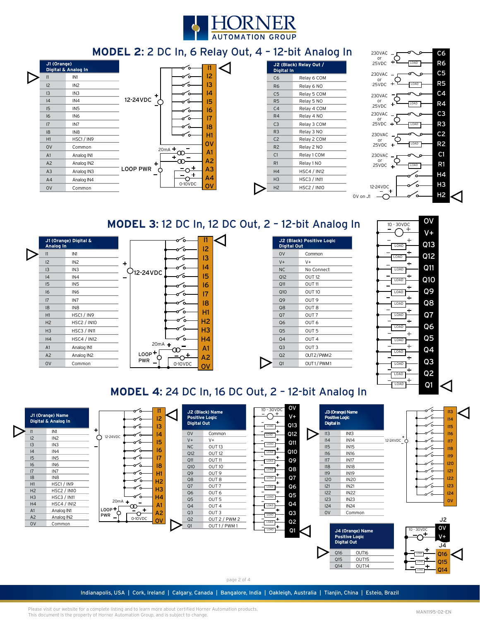

### **MODEL 2**: 2 DC In, 6 Relay Out, 4 – 12-bit Analog In

| J1 (Orange)     | Digital & Analog In |                 |          |                 |  |
|-----------------|---------------------|-----------------|----------|-----------------|--|
| 1               | IN1                 |                 |          | 12              |  |
| 12              | IN <sub>2</sub>     |                 |          | 13              |  |
| 13              | IN <sub>3</sub>     |                 |          | 14              |  |
| 4               | IN4                 | 12-24VDC        |          | 15              |  |
| 15              | IN <sub>5</sub>     |                 | ัก       | 16              |  |
| 16              | IN <sub>6</sub>     |                 |          | $\overline{17}$ |  |
| $\overline{17}$ | IN7                 |                 |          | 18              |  |
| 18              | IN <sub>8</sub>     |                 |          | H1              |  |
| H1              | HSC1/IN9            |                 |          |                 |  |
| <b>OV</b>       | Common              |                 | $20mA +$ | <b>OV</b>       |  |
| A1              | Analog IN1          |                 |          | A1              |  |
| A <sub>2</sub>  | Analog IN2          | ÷               |          | A <sub>2</sub>  |  |
| A3              | Analog IN3          | <b>LOOP PWR</b> | ٠        | A <sub>3</sub>  |  |
| A4              | Analog IN4          |                 |          | A4              |  |
| <b>OV</b>       | Common              |                 | 0-10VDC  | o۷              |  |
|                 |                     |                 |          |                 |  |

|                | J2 (Black) Relay Out /<br>Digital In |  |  |
|----------------|--------------------------------------|--|--|
| C <sub>6</sub> | Relay 6 COM                          |  |  |
| R <sub>6</sub> | Relay 6 NO                           |  |  |
| C <sub>5</sub> | Relay 5 COM                          |  |  |
| R <sub>5</sub> | Relay 5 NO                           |  |  |
| C <sub>4</sub> | Relay 4 COM                          |  |  |
| R4             | Relay 4 NO                           |  |  |
| C <sub>3</sub> | Relay 3 COM                          |  |  |
| R <sub>3</sub> | Relay 3 NO                           |  |  |
| C <sub>2</sub> | Relay 2 COM                          |  |  |
| R <sub>2</sub> | Relay 2 NO                           |  |  |
| C <sub>1</sub> | Relay 1 COM                          |  |  |
| R <sub>1</sub> | Relay 1 NO                           |  |  |
| H <sub>4</sub> | HSC4 / IN12                          |  |  |
| H <sub>3</sub> | <b>HSC3 / IN11</b>                   |  |  |
| H <sub>2</sub> | <b>HSC2 / IN10</b>                   |  |  |



# **MODEL 3**: 12 DC In, 12 DC Out, 2 – 12-bit Analog In

ľ

| Analog In      | J1 (Orange) Digital & |   |                       |         |                |  |
|----------------|-----------------------|---|-----------------------|---------|----------------|--|
| 1              | IN1                   |   |                       |         | 12             |  |
| 12             | IN <sub>2</sub>       | ٠ |                       |         | 13             |  |
| 13             | IN <sub>3</sub>       |   | <sup>)</sup> 12-24VDC |         | 14             |  |
| 4              | IN4                   |   |                       |         | 15             |  |
| 15             | IN <sub>5</sub>       |   |                       |         | 16             |  |
| 16             | IN <sub>6</sub>       |   |                       |         | 17             |  |
| 7              | IN7                   |   |                       |         | 18             |  |
| 8              | IN <sub>8</sub>       |   |                       |         |                |  |
| H1             | HSC1/IN9              |   |                       |         | H1             |  |
| H <sub>2</sub> | <b>HSC2 / IN10</b>    |   |                       |         | H <sub>2</sub> |  |
| H <sub>3</sub> | <b>HSC3 / IN11</b>    |   |                       |         | H <sub>3</sub> |  |
| H <sub>4</sub> | <b>HSC4 / IN12</b>    |   |                       |         | H4             |  |
| A1             | Analog IN1            |   | $20mA +$              |         | A <sub>1</sub> |  |
| A <sub>2</sub> | Analog IN2            |   | $LOOP +$              | ٠       | A2             |  |
| <b>OV</b>      | Common                |   | <b>PWR</b>            | 0-10VDC | o۷             |  |

| <b>Digital Out</b> | J2 (Black) Positive Logic |
|--------------------|---------------------------|
| 0V                 | Common                    |
| $V +$              | $V +$                     |
| N <sub>C</sub>     | No Connect                |
| Q12                | OUT <sub>12</sub>         |
| Q11                | OUT <sub>11</sub>         |
| Q10                | OUT <sub>10</sub>         |
| Q9                 | OUT <sub>9</sub>          |
| Q <sub>8</sub>     | OUT <sub>8</sub>          |
| Q7                 | OUT <sub>7</sub>          |
| Q6                 | OUT <sub>6</sub>          |
| Q <sub>5</sub>     | OUT <sub>5</sub>          |
| Q <sub>4</sub>     | OUT <sub>4</sub>          |
| Q <sub>3</sub>     | OUT <sub>3</sub>          |
| Q <sub>2</sub>     | OUT2/PWM2                 |
| Q1                 | OUT1/PWM1                 |
|                    |                           |



## **MODEL 4**: 24 DC In, 16 DC Out, 2 – 12-bit Analog In

|                | Digital & Analog In |                   | $\sim$                              | 13                     | <b>Digital Out</b> |                   | OAD  | Q13            | Digital In              |                       |                     |                    |
|----------------|---------------------|-------------------|-------------------------------------|------------------------|--------------------|-------------------|------|----------------|-------------------------|-----------------------|---------------------|--------------------|
| 12             | IN1                 | 12-24VDC          |                                     | 14                     | O <sub>V</sub>     | Common            | LOAD | Q12            | $\triangleright$<br>I13 | IN13                  |                     |                    |
| 13             | IN2                 |                   | ั⊶                                  | 15                     | $V +$              | $V +$             |      | Q11            | 14                      | <b>IN14</b>           | 12-24VDC $\bigcirc$ |                    |
|                | IN3                 |                   |                                     | -16                    | NC                 | <b>OUT 13</b>     | LOAD |                | 115                     | <b>IN15</b>           |                     |                    |
|                | IN4                 |                   | ົດ-                                 |                        | Q12                | <b>OUT 12</b>     | LOAD | Q1O            | 16                      | <b>IN16</b>           |                     | $\Omega$           |
| 15             | IN <sub>5</sub>     |                   | ∽∼                                  | 17                     | Q11                | OUT <sub>11</sub> | LOAD | Q9             | 117                     | <b>IN17</b>           |                     |                    |
| 16             | IN <sub>6</sub>     |                   |                                     | 18                     | Q10                | OUT 10            | LOAD | Q8             | 18                      | <b>IN18</b>           |                     |                    |
| 7              | IN7                 |                   |                                     | Æ                      | Q9                 | OUT <sub>9</sub>  |      |                | 119                     | <b>IN19</b>           |                     |                    |
| 8              | IN <sub>8</sub>     |                   | ۰۵                                  | H <sub>2</sub>         | Q <sub>8</sub>     | OUT <sub>8</sub>  | LOAD | Q7             | 120                     | <b>IN20</b>           |                     |                    |
| H1             | HSC1/IN9            |                   |                                     | H <sub>3</sub>         | Q7                 | OUT <sub>7</sub>  | LOAD | Q6             | 121                     | <b>IN21</b>           |                     |                    |
| H <sub>2</sub> | <b>HSC2 / IN10</b>  |                   |                                     |                        | <b>Q6</b>          | OUT <sub>6</sub>  |      | Q5             | 122                     | <b>IN22</b>           |                     |                    |
| H <sub>3</sub> | <b>HSC3 / IN11</b>  |                   | ് പ<br>$20mA +$                     | H <sub>4</sub>         | Q <sub>5</sub>     | OUT <sub>5</sub>  | LOAD |                | 123                     | IN <sub>23</sub>      |                     |                    |
| H <sub>4</sub> | <b>HSC4 / IN12</b>  |                   |                                     | A <sup>1</sup>         | Q <sub>4</sub>     | OUT <sub>4</sub>  | LOAD | Q4             | 124                     | <b>IN24</b>           |                     |                    |
| A1             | Analog IN1          | LOOP <sup>+</sup> |                                     | ۹2                     | Q <sub>3</sub>     | OUT <sub>3</sub>  | LOAD | Q <sub>3</sub> | O <sub>V</sub>          | Common                |                     |                    |
| A <sub>2</sub> | Analog IN2          | PWR               | $\overline{\phantom{0}}$<br>0-10VDC | $\mathsf{O}\mathsf{V}$ | Q <sub>2</sub>     | OUT 2 / PWM 2     |      | Q <sub>2</sub> |                         |                       |                     | J <sub>2</sub>     |
| 0V             | Common              |                   |                                     |                        | Q1                 | OUT 1 / PWM 1     | LOAD |                |                         |                       |                     |                    |
|                |                     |                   |                                     |                        |                    |                   | LOAD | Q1             |                         | J4 (Orange) Name      |                     | ov<br>$10 - 30VDC$ |
|                |                     |                   |                                     |                        |                    |                   |      |                |                         | <b>Positive Logic</b> |                     |                    |
|                |                     |                   |                                     |                        |                    |                   |      |                |                         | <b>Digital Out</b>    |                     | $J\overline{4}$    |
|                |                     |                   |                                     |                        |                    |                   |      |                |                         |                       |                     |                    |
|                |                     |                   |                                     |                        |                    |                   |      |                |                         | OUT16<br>Q16          |                     | 016                |
|                |                     |                   |                                     |                        |                    |                   |      |                |                         | Q15<br>OUT15          |                     | Q15                |

page 2 of 4

Indianapolis, USA | Cork, Ireland | Calgary, Canada | Bangalore, India | Oakleigh, Australia | Tianjin, China | Esteio, Brazil

Please visit our website for a complete listing and to learn more about certified Horner Automation products. This document is the property of Horner Automation Group, and is subject to change.

 $Q14$ 

LOAD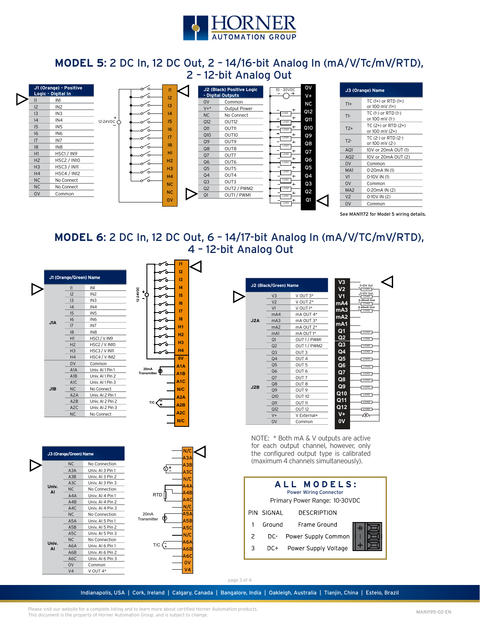

### **MODEL 5**: 2 DC In, 12 DC Out, 2 – 14/16-bit Analog In (mA/V/Tc/mV/RTD), 2 – 12-bit Analog Out



| J3 (Orange) Name  |                                           |  |  |  |
|-------------------|-------------------------------------------|--|--|--|
| $T1+$             | $TC(1+)$ or RTD $(1+)$<br>or 100 mV (1+)  |  |  |  |
| $T1-$             | TC (1-) or RTD (1-)<br>or 100 mV (1-)     |  |  |  |
| $T2+$             | TC $(2+)$ or RTD $(2+)$<br>or 100 mV (2+) |  |  |  |
| $T$ <sup>2-</sup> | TC (2-) or RTD (2-)<br>or 100 mV (2-)     |  |  |  |
| AQ1               | 10V or 20mA OUT (1)                       |  |  |  |
| AQ <sub>2</sub>   | 10V or 20mA OUT (2)                       |  |  |  |
| <b>OV</b>         | Common                                    |  |  |  |
| MA1               | 0-20mA IN (1)                             |  |  |  |
| V <sub>1</sub>    | 0-10V IN (1)                              |  |  |  |
| 0V                | Common                                    |  |  |  |
| MA <sub>2</sub>   | 0-20mA IN (2)                             |  |  |  |
| V <sub>2</sub>    | 0-10V IN (2)                              |  |  |  |
| 0V                | Common                                    |  |  |  |

See MAN1172 for Model 5 wiring details.

### **MODEL 6**: 2 DC In, 12 DC Out, 6 – 14/17-bit Analog In (mA/V/TC/mV/RTD), 4 – 12-bit Analog Out

|     | 1                | IN <sub>1</sub>      |                    |
|-----|------------------|----------------------|--------------------|
|     | 12               | IN <sub>2</sub>      | 12-24VDC           |
|     | 13               | IN <sub>3</sub>      |                    |
|     | 4                | IN4                  |                    |
|     | 15               | IN <sub>5</sub>      |                    |
|     | 16               | IN <sub>6</sub>      |                    |
| J1A | 17               | IN7                  |                    |
|     | 8                | IN <sub>8</sub>      |                    |
|     | H1               | HSC1/VIN9            |                    |
|     | H <sub>2</sub>   | <b>HSC2 / V IN10</b> |                    |
|     | H <sub>3</sub>   | HSC3 / V IN11        |                    |
|     | H <sub>4</sub>   | <b>HSC4 / V IN12</b> |                    |
|     | <b>OV</b>        | Common               |                    |
|     | A1A              | Univ. Al 1 Pin 1     | <b>Transmitter</b> |
|     | A1B              | Univ. Al 1 Pin 2     |                    |
|     | A <sub>1</sub> C | Univ. Al 1 Pin 3     |                    |
| JIB | <b>NC</b>        | No Connect           |                    |
|     | A <sub>2</sub> A | Univ. AI 2 Pin 1     |                    |
|     | A2B              | Univ. AI 2 Pin 2     |                    |
|     | A <sub>2</sub> C | Univ. AI 2 Pin 3     |                    |
|     | <b>NC</b>        | No Connect           |                    |

**J3 (Orange/Green) Name**

NC No Connection A3A Univ. AI 3 Pin 1 A3B Univ. AI 3 Pin 2 A3C Univ. AI 3 Pin 3 NC No Connection A4A Univ. AI 4 Pin 1 A4B Univ. AI 4 Pin 2 A4C Univ. AI 4 Pin 3 NC No Connection

A5A Univ. AI 5 Pin 1 A5B Univ. AI 5 Pin 2 A5C Univ. AI 5 Pin 3 NC No Connection A6A Univ. AI 6 Pin 1 A6B Univ. AI 6 Pin 2 A6C Univ. AI 6 Pin 3 0V Common V4 V OUT 4\*

**Univ. AI**

**Univ. AI**



V

RTD

T/C $\left\langle \right\rangle$ 

20mA **Transmitter** 

N/C A3A A3B A3C N/C A4A A4B A4C N/C  $\overline{\bf 5}$ A5B A5C N/C A6A A6B A6C 0V V4

**I1**

ъ

|     | J2 (Black/Green) Name |                   | V <sub>3</sub><br>V <sub>2</sub> | 0-10V Out<br>LOAD  |
|-----|-----------------------|-------------------|----------------------------------|--------------------|
|     | V <sub>3</sub>        | V OUT 3*          | V1                               | 0-10V Out<br>LOAD  |
|     | V <sub>2</sub>        | V OUT 2*          | mA4                              | 0-20mA Out<br>LOAD |
|     | V <sub>1</sub>        | V OUT 1*          | mA <sub>3</sub>                  | 0-20mA Out<br>LOAD |
|     | mA4                   | mA OUT 4*         | mA2                              |                    |
| J2A | mA <sub>3</sub>       | $mA$ OUT $3*$     |                                  |                    |
|     | mA <sub>2</sub>       | mA OUT 2*         | mA1                              |                    |
|     | mA1                   | mA OUT 1*         | Q1                               | LOAD               |
|     | Q1                    | OUT 1 / PWM1      | Q <sub>2</sub>                   | LOAD               |
|     | Q <sub>2</sub>        | OUT1/PWM2         | Q3                               | LOAD               |
|     | Q <sub>3</sub>        | OUT <sub>3</sub>  | Q4                               | LOAD               |
|     | Q <sub>4</sub>        | OUT <sub>4</sub>  | Q5                               | LOAD               |
|     | Q <sub>5</sub>        | OUT <sub>5</sub>  | Q6                               | LOAD               |
|     | <b>Q6</b>             | OUT <sub>6</sub>  | Q7                               | LOAD               |
|     | Q7                    | OUT <sub>7</sub>  | Q8                               | LOAD               |
| J2B | Q <sub>8</sub>        | OUT <sub>8</sub>  | Q9                               |                    |
|     | O9                    | OUT <sub>9</sub>  | Q10                              | LOAD               |
|     | Q10                   | OUT <sub>10</sub> |                                  | LOAD               |
|     | Q11                   | OUT <sub>11</sub> | Q11                              | LOAD               |
|     | Q12                   | OUT <sub>12</sub> | Q12                              | LOAD               |
|     | $V +$                 | V External+       | V+                               | -v-                |
|     | O <sub>V</sub>        | Common            | 0V                               |                    |

NOTE: \* Both mA & V outputs are active for each output channel, however, only the configured output type is calibrated (maximum 4 channels simultaneously).





Indianapolis, USA | Cork, Ireland | Calgary, Canada | Bangalore, India | Oakleigh, Australia | Tianjin, China | Esteio, Brazil

Please visit our website for a complete listing and to learn more about certified Horner Automation products. This document is the property of Horner Automation Group, and is subject to change.